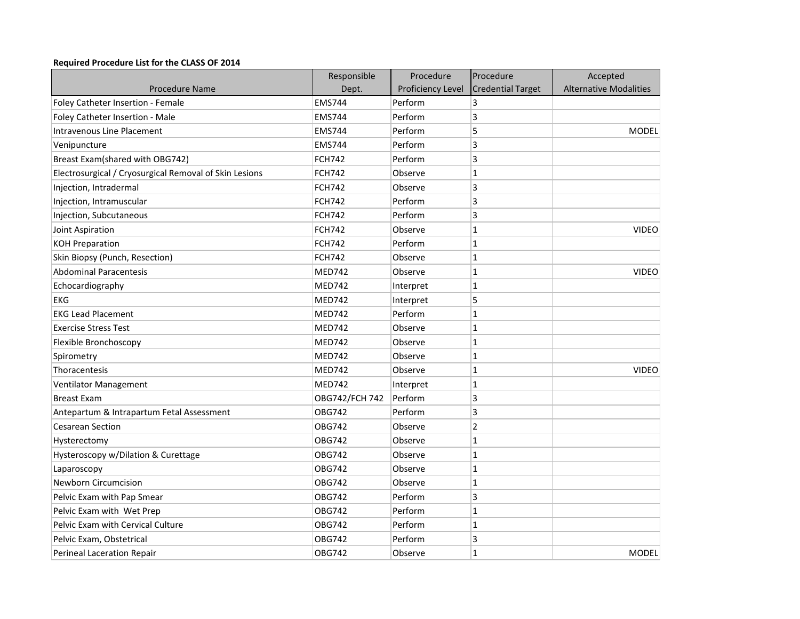## **Required Procedure List for the CLASS OF 2014**

|                                                        | Responsible    | Procedure         | Procedure                | Accepted                      |
|--------------------------------------------------------|----------------|-------------------|--------------------------|-------------------------------|
| <b>Procedure Name</b>                                  | Dept.          | Proficiency Level | <b>Credential Target</b> | <b>Alternative Modalities</b> |
| Foley Catheter Insertion - Female                      | <b>EMS744</b>  | Perform           | 3                        |                               |
| Foley Catheter Insertion - Male                        | <b>EMS744</b>  | Perform           | 3                        |                               |
| <b>Intravenous Line Placement</b>                      | <b>EMS744</b>  | Perform           | 5                        | <b>MODEL</b>                  |
| Venipuncture                                           | <b>EMS744</b>  | Perform           | 3                        |                               |
| Breast Exam(shared with OBG742)                        | <b>FCH742</b>  | Perform           | 3                        |                               |
| Electrosurgical / Cryosurgical Removal of Skin Lesions | <b>FCH742</b>  | Observe           | $\mathbf{1}$             |                               |
| Injection, Intradermal                                 | <b>FCH742</b>  | Observe           | 3                        |                               |
| Injection, Intramuscular                               | <b>FCH742</b>  | Perform           | 3                        |                               |
| Injection, Subcutaneous                                | <b>FCH742</b>  | Perform           | 3                        |                               |
| Joint Aspiration                                       | <b>FCH742</b>  | Observe           | 1                        | <b>VIDEO</b>                  |
| <b>KOH Preparation</b>                                 | <b>FCH742</b>  | Perform           | 1                        |                               |
| Skin Biopsy (Punch, Resection)                         | <b>FCH742</b>  | Observe           | 1                        |                               |
| <b>Abdominal Paracentesis</b>                          | <b>MED742</b>  | Observe           | 1                        | <b>VIDEO</b>                  |
| Echocardiography                                       | <b>MED742</b>  | Interpret         | 1                        |                               |
| <b>EKG</b>                                             | <b>MED742</b>  | Interpret         | 5                        |                               |
| <b>EKG Lead Placement</b>                              | <b>MED742</b>  | Perform           | 1                        |                               |
| <b>Exercise Stress Test</b>                            | <b>MED742</b>  | Observe           | 1                        |                               |
| Flexible Bronchoscopy                                  | <b>MED742</b>  | Observe           | 1                        |                               |
| Spirometry                                             | <b>MED742</b>  | Observe           | 1                        |                               |
| Thoracentesis                                          | <b>MED742</b>  | Observe           | 1                        | <b>VIDEO</b>                  |
| Ventilator Management                                  | <b>MED742</b>  | Interpret         | 1                        |                               |
| <b>Breast Exam</b>                                     | OBG742/FCH 742 | Perform           | 3                        |                               |
| Antepartum & Intrapartum Fetal Assessment              | <b>OBG742</b>  | Perform           | 3                        |                               |
| <b>Cesarean Section</b>                                | <b>OBG742</b>  | Observe           | 2                        |                               |
| Hysterectomy                                           | OBG742         | Observe           | 1                        |                               |
| Hysteroscopy w/Dilation & Curettage                    | <b>OBG742</b>  | Observe           | 1                        |                               |
| Laparoscopy                                            | <b>OBG742</b>  | Observe           | 1                        |                               |
| <b>Newborn Circumcision</b>                            | <b>OBG742</b>  | Observe           | 1                        |                               |
| Pelvic Exam with Pap Smear                             | <b>OBG742</b>  | Perform           | 3                        |                               |
| Pelvic Exam with Wet Prep                              | <b>OBG742</b>  | Perform           | 1                        |                               |
| Pelvic Exam with Cervical Culture                      | OBG742         | Perform           | 1                        |                               |
| Pelvic Exam, Obstetrical                               | <b>OBG742</b>  | Perform           | 3                        |                               |
| Perineal Laceration Repair                             | <b>OBG742</b>  | Observe           | $\overline{1}$           | <b>MODEL</b>                  |